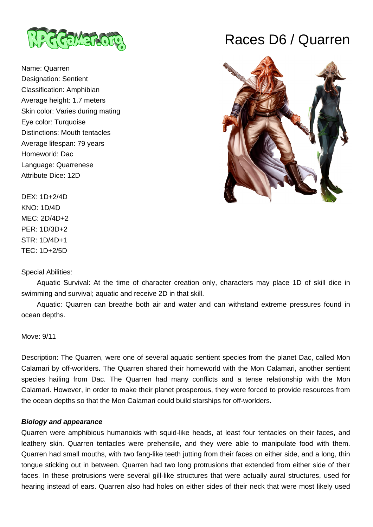

Name: Quarren Designation: Sentient Classification: Amphibian Average height: 1.7 meters Skin color: Varies during mating Eye color: Turquoise Distinctions: Mouth tentacles Average lifespan: 79 years Homeworld: Dac Language: Quarrenese Attribute Dice: 12D

# Races D6 / Quarren



DEX: 1D+2/4D KNO: 1D/4D MEC: 2D/4D+2 PER: 1D/3D+2 STR: 1D/4D+1 TEC: 1D+2/5D

Special Abilities:

 Aquatic Survival: At the time of character creation only, characters may place 1D of skill dice in swimming and survival; aquatic and receive 2D in that skill.

 Aquatic: Quarren can breathe both air and water and can withstand extreme pressures found in ocean depths.

Move: 9/11

Description: The Quarren, were one of several aquatic sentient species from the planet Dac, called Mon Calamari by off-worlders. The Quarren shared their homeworld with the Mon Calamari, another sentient species hailing from Dac. The Quarren had many conflicts and a tense relationship with the Mon Calamari. However, in order to make their planet prosperous, they were forced to provide resources from the ocean depths so that the Mon Calamari could build starships for off-worlders.

### **Biology and appearance**

Quarren were amphibious humanoids with squid-like heads, at least four tentacles on their faces, and leathery skin. Quarren tentacles were prehensile, and they were able to manipulate food with them. Quarren had small mouths, with two fang-like teeth jutting from their faces on either side, and a long, thin tongue sticking out in between. Quarren had two long protrusions that extended from either side of their faces. In these protrusions were several gill-like structures that were actually aural structures, used for hearing instead of ears. Quarren also had holes on either sides of their neck that were most likely used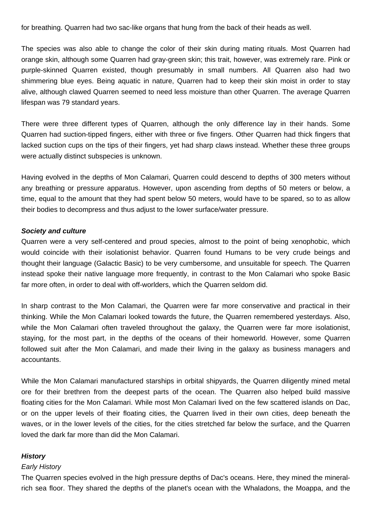for breathing. Quarren had two sac-like organs that hung from the back of their heads as well.

The species was also able to change the color of their skin during mating rituals. Most Quarren had orange skin, although some Quarren had gray-green skin; this trait, however, was extremely rare. Pink or purple-skinned Quarren existed, though presumably in small numbers. All Quarren also had two shimmering blue eyes. Being aquatic in nature, Quarren had to keep their skin moist in order to stay alive, although clawed Quarren seemed to need less moisture than other Quarren. The average Quarren lifespan was 79 standard years.

There were three different types of Quarren, although the only difference lay in their hands. Some Quarren had suction-tipped fingers, either with three or five fingers. Other Quarren had thick fingers that lacked suction cups on the tips of their fingers, yet had sharp claws instead. Whether these three groups were actually distinct subspecies is unknown.

Having evolved in the depths of Mon Calamari, Quarren could descend to depths of 300 meters without any breathing or pressure apparatus. However, upon ascending from depths of 50 meters or below, a time, equal to the amount that they had spent below 50 meters, would have to be spared, so to as allow their bodies to decompress and thus adjust to the lower surface/water pressure.

### **Society and culture**

Quarren were a very self-centered and proud species, almost to the point of being xenophobic, which would coincide with their isolationist behavior. Quarren found Humans to be very crude beings and thought their language (Galactic Basic) to be very cumbersome, and unsuitable for speech. The Quarren instead spoke their native language more frequently, in contrast to the Mon Calamari who spoke Basic far more often, in order to deal with off-worlders, which the Quarren seldom did.

In sharp contrast to the Mon Calamari, the Quarren were far more conservative and practical in their thinking. While the Mon Calamari looked towards the future, the Quarren remembered yesterdays. Also, while the Mon Calamari often traveled throughout the galaxy, the Quarren were far more isolationist, staying, for the most part, in the depths of the oceans of their homeworld. However, some Quarren followed suit after the Mon Calamari, and made their living in the galaxy as business managers and accountants.

While the Mon Calamari manufactured starships in orbital shipyards, the Quarren diligently mined metal ore for their brethren from the deepest parts of the ocean. The Quarren also helped build massive floating cities for the Mon Calamari. While most Mon Calamari lived on the few scattered islands on Dac, or on the upper levels of their floating cities, the Quarren lived in their own cities, deep beneath the waves, or in the lower levels of the cities, for the cities stretched far below the surface, and the Quarren loved the dark far more than did the Mon Calamari.

### **History**

#### Early History

The Quarren species evolved in the high pressure depths of Dac's oceans. Here, they mined the mineralrich sea floor. They shared the depths of the planet's ocean with the Whaladons, the Moappa, and the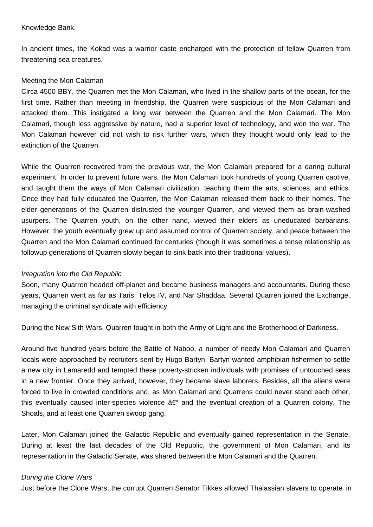### Knowledge Bank.

In ancient times, the Kokad was a warrior caste encharged with the protection of fellow Quarren from threatening sea creatures.

### Meeting the Mon Calamari

Circa 4500 BBY, the Quarren met the Mon Calamari, who lived in the shallow parts of the ocean, for the first time. Rather than meeting in friendship, the Quarren were suspicious of the Mon Calamari and attacked them. This instigated a long war between the Quarren and the Mon Calamari. The Mon Calamari, though less aggressive by nature, had a superior level of technology, and won the war. The Mon Calamari however did not wish to risk further wars, which they thought would only lead to the extinction of the Quarren.

While the Quarren recovered from the previous war, the Mon Calamari prepared for a daring cultural experiment. In order to prevent future wars, the Mon Calamari took hundreds of young Quarren captive, and taught them the ways of Mon Calamari civilization, teaching them the arts, sciences, and ethics. Once they had fully educated the Quarren, the Mon Calamari released them back to their homes. The elder generations of the Quarren distrusted the younger Quarren, and viewed them as brain-washed usurpers. The Quarren youth, on the other hand, viewed their elders as uneducated barbarians. However, the youth eventually grew up and assumed control of Quarren society, and peace between the Quarren and the Mon Calamari continued for centuries (though it was sometimes a tense relationship as followup generations of Quarren slowly began to sink back into their traditional values).

### Integration into the Old Republic

Soon, many Quarren headed off-planet and became business managers and accountants. During these years, Quarren went as far as Taris, Telos IV, and Nar Shaddaa. Several Quarren joined the Exchange, managing the criminal syndicate with efficiency.

During the New Sith Wars, Quarren fought in both the Army of Light and the Brotherhood of Darkness.

Around five hundred years before the Battle of Naboo, a number of needy Mon Calamari and Quarren locals were approached by recruiters sent by Hugo Bartyn. Bartyn wanted amphibian fishermen to settle a new city in Lamaredd and tempted these poverty-stricken individuals with promises of untouched seas in a new frontier. Once they arrived, however, they became slave laborers. Besides, all the aliens were forced to live in crowded conditions and, as Mon Calamari and Quarrens could never stand each other, this eventually caused inter-species violence  $\hat{a}\in$  and the eventual creation of a Quarren colony. The Shoals, and at least one Quarren swoop gang.

Later, Mon Calamari joined the Galactic Republic and eventually gained representation in the Senate. During at least the last decades of the Old Republic, the government of Mon Calamari, and its representation in the Galactic Senate, was shared between the Mon Calamari and the Quarren.

### During the Clone Wars

Just before the Clone Wars, the corrupt Quarren Senator Tikkes allowed Thalassian slavers to operate in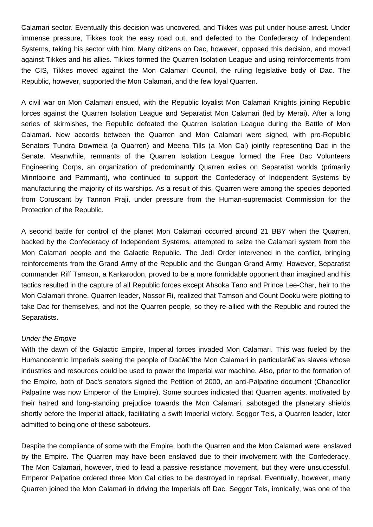Calamari sector. Eventually this decision was uncovered, and Tikkes was put under house-arrest. Under immense pressure, Tikkes took the easy road out, and defected to the Confederacy of Independent Systems, taking his sector with him. Many citizens on Dac, however, opposed this decision, and moved against Tikkes and his allies. Tikkes formed the Quarren Isolation League and using reinforcements from the CIS, Tikkes moved against the Mon Calamari Council, the ruling legislative body of Dac. The Republic, however, supported the Mon Calamari, and the few loyal Quarren.

A civil war on Mon Calamari ensued, with the Republic loyalist Mon Calamari Knights joining Republic forces against the Quarren Isolation League and Separatist Mon Calamari (led by Merai). After a long series of skirmishes, the Republic defeated the Quarren Isolation League during the Battle of Mon Calamari. New accords between the Quarren and Mon Calamari were signed, with pro-Republic Senators Tundra Dowmeia (a Quarren) and Meena Tills (a Mon Cal) jointly representing Dac in the Senate. Meanwhile, remnants of the Quarren Isolation League formed the Free Dac Volunteers Engineering Corps, an organization of predominantly Quarren exiles on Separatist worlds (primarily Minntooine and Pammant), who continued to support the Confederacy of Independent Systems by manufacturing the majority of its warships. As a result of this, Quarren were among the species deported from Coruscant by Tannon Praji, under pressure from the Human-supremacist Commission for the Protection of the Republic.

A second battle for control of the planet Mon Calamari occurred around 21 BBY when the Quarren, backed by the Confederacy of Independent Systems, attempted to seize the Calamari system from the Mon Calamari people and the Galactic Republic. The Jedi Order intervened in the conflict, bringing reinforcements from the Grand Army of the Republic and the Gungan Grand Army. However, Separatist commander Riff Tamson, a Karkarodon, proved to be a more formidable opponent than imagined and his tactics resulted in the capture of all Republic forces except Ahsoka Tano and Prince Lee-Char, heir to the Mon Calamari throne. Quarren leader, Nossor Ri, realized that Tamson and Count Dooku were plotting to take Dac for themselves, and not the Quarren people, so they re-allied with the Republic and routed the Separatists.

### Under the Empire

With the dawn of the Galactic Empire, Imperial forces invaded Mon Calamari. This was fueled by the Humanocentric Imperials seeing the people of Dacâ€"the Mon Calamari in particularâ€"as slaves whose industries and resources could be used to power the Imperial war machine. Also, prior to the formation of the Empire, both of Dac's senators signed the Petition of 2000, an anti-Palpatine document (Chancellor Palpatine was now Emperor of the Empire). Some sources indicated that Quarren agents, motivated by their hatred and long-standing prejudice towards the Mon Calamari, sabotaged the planetary shields shortly before the Imperial attack, facilitating a swift Imperial victory. Seggor Tels, a Quarren leader, later admitted to being one of these saboteurs.

Despite the compliance of some with the Empire, both the Quarren and the Mon Calamari were enslaved by the Empire. The Quarren may have been enslaved due to their involvement with the Confederacy. The Mon Calamari, however, tried to lead a passive resistance movement, but they were unsuccessful. Emperor Palpatine ordered three Mon Cal cities to be destroyed in reprisal. Eventually, however, many Quarren joined the Mon Calamari in driving the Imperials off Dac. Seggor Tels, ironically, was one of the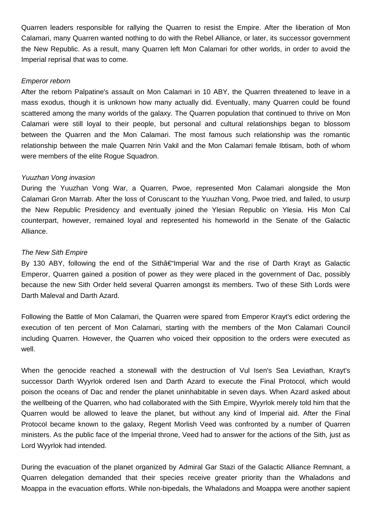Quarren leaders responsible for rallying the Quarren to resist the Empire. After the liberation of Mon Calamari, many Quarren wanted nothing to do with the Rebel Alliance, or later, its successor government the New Republic. As a result, many Quarren left Mon Calamari for other worlds, in order to avoid the Imperial reprisal that was to come.

### Emperor reborn

After the reborn Palpatine's assault on Mon Calamari in 10 ABY, the Quarren threatened to leave in a mass exodus, though it is unknown how many actually did. Eventually, many Quarren could be found scattered among the many worlds of the galaxy. The Quarren population that continued to thrive on Mon Calamari were still loyal to their people, but personal and cultural relationships began to blossom between the Quarren and the Mon Calamari. The most famous such relationship was the romantic relationship between the male Quarren Nrin Vakil and the Mon Calamari female Ibtisam, both of whom were members of the elite Rogue Squadron.

## Yuuzhan Vong invasion

During the Yuuzhan Vong War, a Quarren, Pwoe, represented Mon Calamari alongside the Mon Calamari Gron Marrab. After the loss of Coruscant to the Yuuzhan Vong, Pwoe tried, and failed, to usurp the New Republic Presidency and eventually joined the Ylesian Republic on Ylesia. His Mon Cal counterpart, however, remained loyal and represented his homeworld in the Senate of the Galactic Alliance.

## The New Sith Empire

By 130 ABY, following the end of the Sithâ€"Imperial War and the rise of Darth Krayt as Galactic Emperor, Quarren gained a position of power as they were placed in the government of Dac, possibly because the new Sith Order held several Quarren amongst its members. Two of these Sith Lords were Darth Maleval and Darth Azard.

Following the Battle of Mon Calamari, the Quarren were spared from Emperor Krayt's edict ordering the execution of ten percent of Mon Calamari, starting with the members of the Mon Calamari Council including Quarren. However, the Quarren who voiced their opposition to the orders were executed as well.

When the genocide reached a stonewall with the destruction of Vul Isen's Sea Leviathan, Krayt's successor Darth Wyyrlok ordered Isen and Darth Azard to execute the Final Protocol, which would poison the oceans of Dac and render the planet uninhabitable in seven days. When Azard asked about the wellbeing of the Quarren, who had collaborated with the Sith Empire, Wyyrlok merely told him that the Quarren would be allowed to leave the planet, but without any kind of Imperial aid. After the Final Protocol became known to the galaxy, Regent Morlish Veed was confronted by a number of Quarren ministers. As the public face of the Imperial throne, Veed had to answer for the actions of the Sith, just as Lord Wyyrlok had intended.

During the evacuation of the planet organized by Admiral Gar Stazi of the Galactic Alliance Remnant, a Quarren delegation demanded that their species receive greater priority than the Whaladons and Moappa in the evacuation efforts. While non-bipedals, the Whaladons and Moappa were another sapient